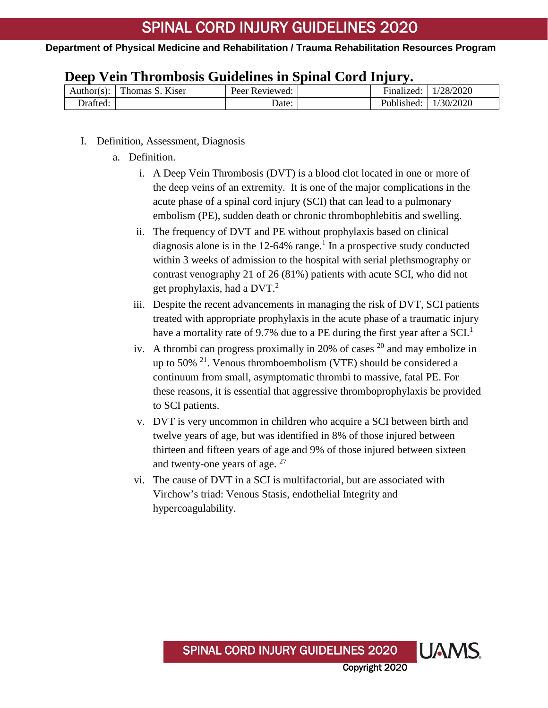|  |  |  | Deep Vein Thrombosis Guidelines in Spinal Cord Injury. |  |  |  |  |
|--|--|--|--------------------------------------------------------|--|--|--|--|
|--|--|--|--------------------------------------------------------|--|--|--|--|

| Author(s): | Thomas S. Kiser | Peer Reviewed: |  | Finalized: | 1/28/2020 |
|------------|-----------------|----------------|--|------------|-----------|
| Drafted:   |                 | Date:          |  | Published: | 1/30/2020 |

- I. Definition, Assessment, Diagnosis
	- a. Definition.
		- i. A Deep Vein Thrombosis (DVT) is a blood clot located in one or more of the deep veins of an extremity. It is one of the major complications in the acute phase of a spinal cord injury (SCI) that can lead to a pulmonary embolism (PE), sudden death or chronic thrombophlebitis and swelling.
		- ii. The frequency of DVT and PE without prophylaxis based on clinical diagnosis alone is in the  $12-64\%$  range.<sup>1</sup> In a prospective study conducted within 3 weeks of admission to the hospital with serial plethsmography or contrast venography 21 of 26 (81%) patients with acute SCI, who did not get prophylaxis, had a DVT. $2$
		- iii. Despite the recent advancements in managing the risk of DVT, SCI patients treated with appropriate prophylaxis in the acute phase of a traumatic injury have a mortality rate of 9.7% due to a PE during the first year after a  $\text{SCI}^1$
		- iv. A thrombi can progress proximally in 20% of cases  $20$  and may embolize in up to 50%  $^{21}$ . Venous thromboembolism (VTE) should be considered a continuum from small, asymptomatic thrombi to massive, fatal PE. For these reasons, it is essential that aggressive thromboprophylaxis be provided to SCI patients.
		- v. DVT is very uncommon in children who acquire a SCI between birth and twelve years of age, but was identified in 8% of those injured between thirteen and fifteen years of age and 9% of those injured between sixteen and twenty-one years of age.  $27$
		- vi. The cause of DVT in a SCI is multifactorial, but are associated with Virchow's triad: Venous Stasis, endothelial Integrity and hypercoagulability.

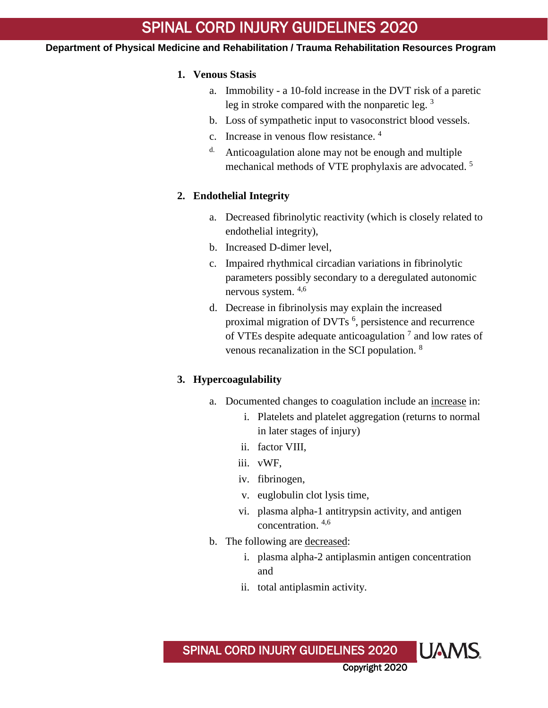### **Department of Physical Medicine and Rehabilitation / Trauma Rehabilitation Resources Program**

## **1. Venous Stasis**

- a. Immobility a 10-fold increase in the DVT risk of a paretic leg in stroke compared with the nonparetic leg.  $3$
- b. Loss of sympathetic input to vasoconstrict blood vessels.
- c. Increase in venous flow resistance. 4
- d. Anticoagulation alone may not be enough and multiple mechanical methods of VTE prophylaxis are advocated. 5

# **2. Endothelial Integrity**

- a. Decreased fibrinolytic reactivity (which is closely related to endothelial integrity),
- b. Increased D-dimer level,
- c. Impaired rhythmical circadian variations in fibrinolytic parameters possibly secondary to a deregulated autonomic nervous system. 4,6
- d. Decrease in fibrinolysis may explain the increased proximal migration of DVTs<sup>6</sup>, persistence and recurrence of VTEs despite adequate anticoagulation 7 and low rates of venous recanalization in the SCI population. <sup>8</sup>

# **3. Hypercoagulability**

- a. Documented changes to coagulation include an increase in:
	- i. Platelets and platelet aggregation (returns to normal in later stages of injury)
	- ii. factor VIII,
	- iii. vWF,
	- iv. fibrinogen,
	- v. euglobulin clot lysis time,
	- vi. plasma alpha-1 antitrypsin activity, and antigen concentration. 4,6
- b. The following are decreased:
	- i. plasma alpha-2 antiplasmin antigen concentration and
	- ii. total antiplasmin activity.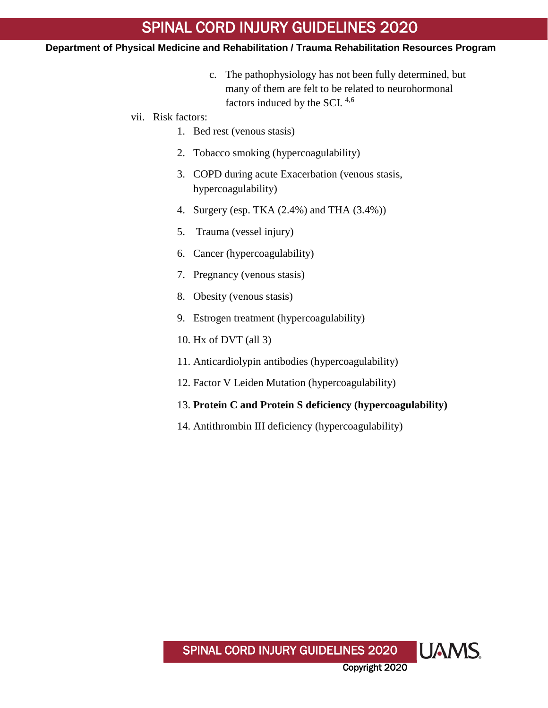- c. The pathophysiology has not been fully determined, but many of them are felt to be related to neurohormonal factors induced by the SCI. 4,6
- vii. Risk factors:
	- 1. Bed rest (venous stasis)
	- 2. Tobacco smoking (hypercoagulability)
	- 3. COPD during acute Exacerbation (venous stasis, hypercoagulability)
	- 4. Surgery (esp. TKA (2.4%) and THA (3.4%))
	- 5. Trauma (vessel injury)
	- 6. Cancer (hypercoagulability)
	- 7. Pregnancy (venous stasis)
	- 8. Obesity (venous stasis)
	- 9. Estrogen treatment (hypercoagulability)
	- 10. Hx of DVT (all 3)
	- 11. Anticardiolypin antibodies (hypercoagulability)
	- 12. Factor V Leiden Mutation (hypercoagulability)
	- 13. **Protein C and Protein S deficiency (hypercoagulability)**
	- 14. Antithrombin III deficiency (hypercoagulability)

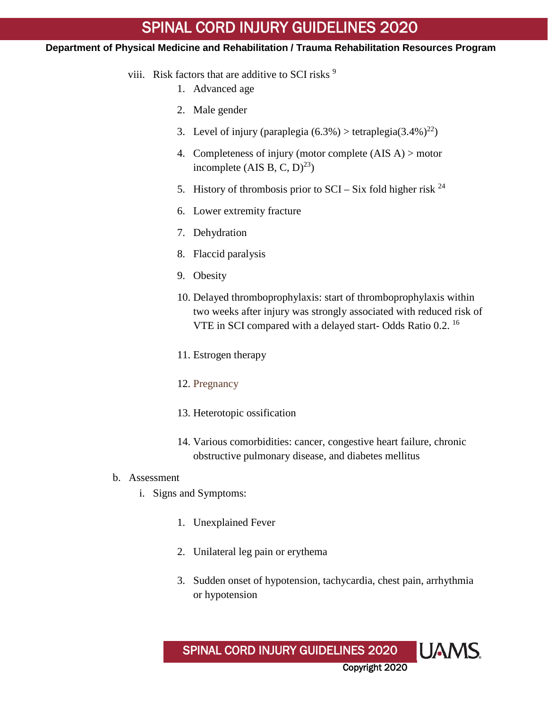- viii. Risk factors that are additive to SCI risks<sup>9</sup>
	- 1. Advanced age
	- 2. Male gender
	- 3. Level of injury (paraplegia  $(6.3\%)$  > tetraplegia $(3.4\%)^{22}$ )
	- 4. Completeness of injury (motor complete (AIS A) > motor incomplete (AIS B, C, D)<sup>23</sup>)
	- 5. History of thrombosis prior to  $SCI Six$  fold higher risk  $^{24}$
	- 6. Lower extremity fracture
	- 7. Dehydration
	- 8. Flaccid paralysis
	- 9. Obesity
	- 10. Delayed thromboprophylaxis: start of thromboprophylaxis within two weeks after injury was strongly associated with reduced risk of VTE in SCI compared with a delayed start-Odds Ratio 0.2.<sup>16</sup>
	- 11. Estrogen therapy
	- 12. Pregnancy
	- 13. Heterotopic ossification
	- 14. Various comorbidities: cancer, congestive heart failure, chronic obstructive pulmonary disease, and diabetes mellitus
- b. Assessment
	- i. Signs and Symptoms:
		- 1. Unexplained Fever
		- 2. Unilateral leg pain or erythema
		- 3. Sudden onset of hypotension, tachycardia, chest pain, arrhythmia or hypotension

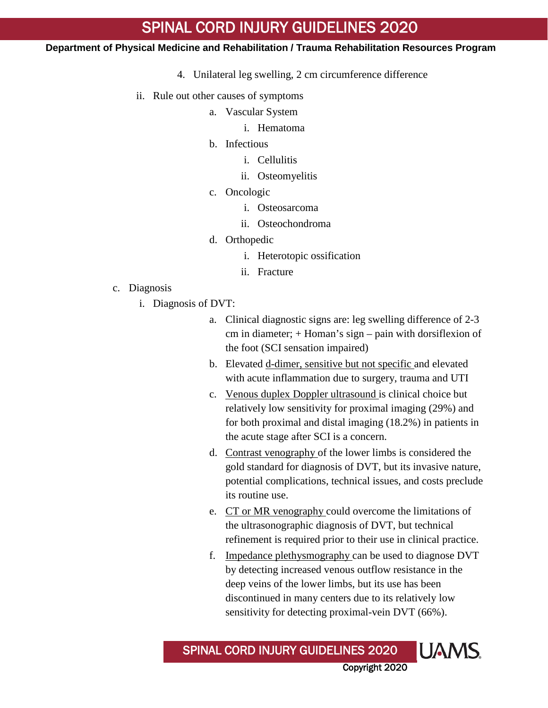#### **Department of Physical Medicine and Rehabilitation / Trauma Rehabilitation Resources Program**

- 4. Unilateral leg swelling, 2 cm circumference difference
- ii. Rule out other causes of symptoms
	- a. Vascular System
		- i. Hematoma
	- b. Infectious
		- i. Cellulitis
		- ii. Osteomyelitis
	- c. Oncologic
		- i. Osteosarcoma
		- ii. Osteochondroma
	- d. Orthopedic
		- i. Heterotopic ossification
		- ii. Fracture
- c. Diagnosis
	- i. Diagnosis of DVT:
		- a. Clinical diagnostic signs are: leg swelling difference of 2-3 cm in diameter; + Homan's sign – pain with dorsiflexion of the foot (SCI sensation impaired)
		- b. Elevated d-dimer, sensitive but not specific and elevated with acute inflammation due to surgery, trauma and UTI
		- c. Venous duplex Doppler ultrasound is clinical choice but relatively low sensitivity for proximal imaging (29%) and for both proximal and distal imaging (18.2%) in patients in the acute stage after SCI is a concern.
		- d. Contrast venography of the lower limbs is considered the gold standard for diagnosis of DVT, but its invasive nature, potential complications, technical issues, and costs preclude its routine use.
		- e. CT or MR venography could overcome the limitations of the ultrasonographic diagnosis of DVT, but technical refinement is required prior to their use in clinical practice.
		- f. Impedance plethysmography can be used to diagnose DVT by detecting increased venous outflow resistance in the deep veins of the lower limbs, but its use has been discontinued in many centers due to its relatively low sensitivity for detecting proximal-vein DVT (66%).

Copyright 2020

**UAMS** 

SPINAL CORD INJURY GUIDELINES 2020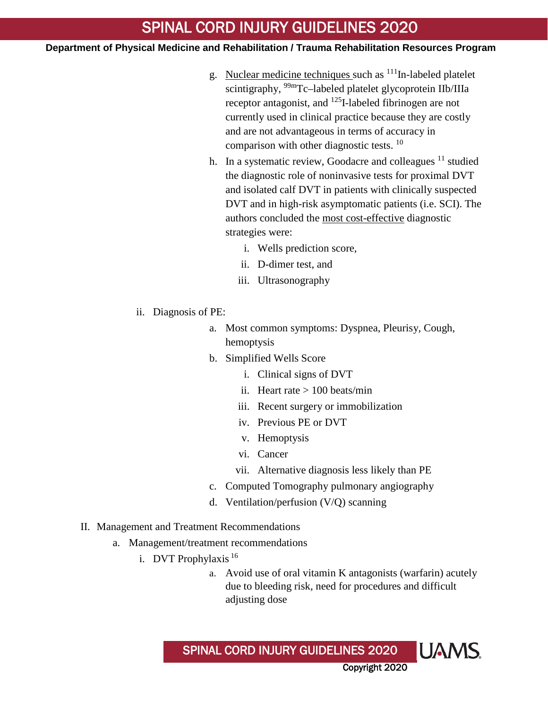- g. Nuclear medicine techniques such as  $111$ In-labeled platelet scintigraphy, <sup>99m</sup>Tc–labeled platelet glycoprotein IIb/IIIa receptor antagonist, and <sup>125</sup>I-labeled fibrinogen are not currently used in clinical practice because they are costly and are not advantageous in terms of accuracy in comparison with other diagnostic tests.<sup>10</sup>
- h. In a systematic review, Goodacre and colleagues  $11$  studied the diagnostic role of noninvasive tests for proximal DVT and isolated calf DVT in patients with clinically suspected DVT and in high-risk asymptomatic patients (i.e. SCI). The authors concluded the most cost-effective diagnostic strategies were:
	- i. Wells prediction score,
	- ii. D-dimer test, and
	- iii. Ultrasonography
- ii. Diagnosis of PE:
	- a. Most common symptoms: Dyspnea, Pleurisy, Cough, hemoptysis
	- b. Simplified Wells Score
		- i. Clinical signs of DVT
		- ii. Heart rate  $> 100$  beats/min
		- iii. Recent surgery or immobilization
		- iv. Previous PE or DVT
		- v. Hemoptysis
		- vi. Cancer
		- vii. Alternative diagnosis less likely than PE
	- c. Computed Tomography pulmonary angiography
	- d. Ventilation/perfusion (V/Q) scanning
- II. Management and Treatment Recommendations
	- a. Management/treatment recommendations
		- i. DVT Prophylaxis <sup>16</sup>
			- a. Avoid use of oral vitamin K antagonists (warfarin) acutely due to bleeding risk, need for procedures and difficult adjusting dose

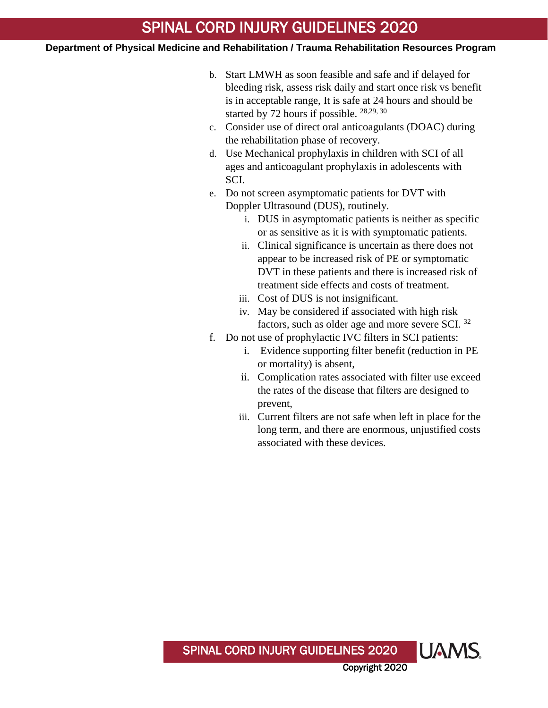- b. Start LMWH as soon feasible and safe and if delayed for bleeding risk, assess risk daily and start once risk vs benefit is in acceptable range, It is safe at 24 hours and should be started by 72 hours if possible. 28,29, 30
- c. Consider use of direct oral anticoagulants (DOAC) during the rehabilitation phase of recovery.
- d. Use Mechanical prophylaxis in children with SCI of all ages and anticoagulant prophylaxis in adolescents with SCI.
- e. Do not screen asymptomatic patients for DVT with Doppler Ultrasound (DUS), routinely.
	- i. DUS in asymptomatic patients is neither as specific or as sensitive as it is with symptomatic patients.
	- ii. Clinical significance is uncertain as there does not appear to be increased risk of PE or symptomatic DVT in these patients and there is increased risk of treatment side effects and costs of treatment.
	- iii. Cost of DUS is not insignificant.
	- iv. May be considered if associated with high risk factors, such as older age and more severe SCI. <sup>32</sup>
- f. Do not use of prophylactic IVC filters in SCI patients:
	- i. Evidence supporting filter benefit (reduction in PE or mortality) is absent,
	- ii. Complication rates associated with filter use exceed the rates of the disease that filters are designed to prevent,
	- iii. Current filters are not safe when left in place for the long term, and there are enormous, unjustified costs associated with these devices.

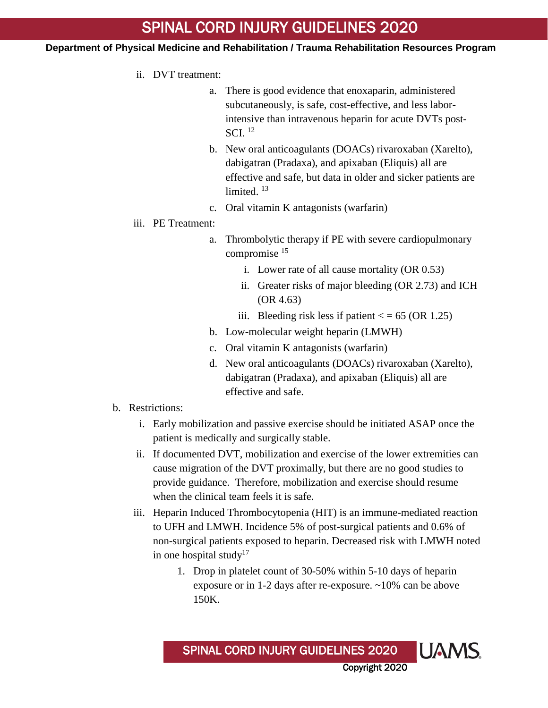- ii. DVT treatment:
	- a. There is good evidence that enoxaparin, administered subcutaneously, is safe, cost-effective, and less laborintensive than intravenous heparin for acute DVTs post-SCI. <sup>12</sup>
	- b. New oral anticoagulants (DOACs) rivaroxaban (Xarelto), dabigatran (Pradaxa), and apixaban (Eliquis) all are effective and safe, but data in older and sicker patients are limited.<sup>13</sup>
	- c. Oral vitamin K antagonists (warfarin)
- iii. PE Treatment:
	- a. Thrombolytic therapy if PE with severe cardiopulmonary compromise 15
		- i. Lower rate of all cause mortality (OR 0.53)
		- ii. Greater risks of major bleeding (OR 2.73) and ICH (OR 4.63)
		- iii. Bleeding risk less if patient  $\langle$  = 65 (OR 1.25)
	- b. Low-molecular weight heparin (LMWH)
	- c. Oral vitamin K antagonists (warfarin)
	- d. New oral anticoagulants (DOACs) rivaroxaban (Xarelto), dabigatran (Pradaxa), and apixaban (Eliquis) all are effective and safe.
- b. Restrictions:
	- i. Early mobilization and passive exercise should be initiated ASAP once the patient is medically and surgically stable.
	- ii. If documented DVT, mobilization and exercise of the lower extremities can cause migration of the DVT proximally, but there are no good studies to provide guidance. Therefore, mobilization and exercise should resume when the clinical team feels it is safe.
	- iii. Heparin Induced Thrombocytopenia (HIT) is an immune-mediated reaction to UFH and LMWH. Incidence 5% of post-surgical patients and 0.6% of non-surgical patients exposed to heparin. Decreased risk with LMWH noted in one hospital study<sup>17</sup>
		- 1. Drop in platelet count of 30-50% within 5-10 days of heparin exposure or in 1-2 days after re-exposure. ~10% can be above 150K.

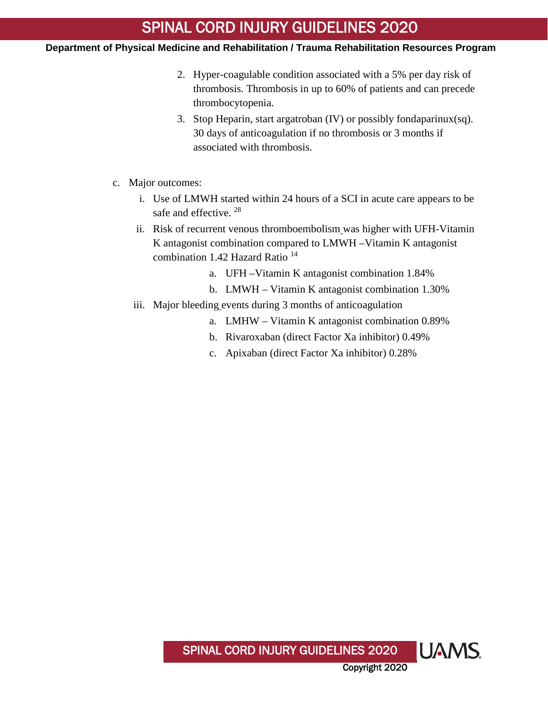- 2. Hyper-coagulable condition associated with a 5% per day risk of thrombosis. Thrombosis in up to 60% of patients and can precede thrombocytopenia.
- 3. Stop Heparin, start argatroban (IV) or possibly fondaparinux(sq). 30 days of anticoagulation if no thrombosis or 3 months if associated with thrombosis.
- c. Major outcomes:
	- i. Use of LMWH started within 24 hours of a SCI in acute care appears to be safe and effective.<sup>28</sup>
	- ii. Risk of recurrent venous thromboembolism was higher with UFH-Vitamin K antagonist combination compared to LMWH –Vitamin K antagonist combination 1.42 Hazard Ratio  $14$ 
		- a. UFH –Vitamin K antagonist combination 1.84%
		- b. LMWH Vitamin K antagonist combination 1.30%
	- iii. Major bleeding events during 3 months of anticoagulation
		- a. LMHW Vitamin K antagonist combination 0.89%
		- b. Rivaroxaban (direct Factor Xa inhibitor) 0.49%
		- c. Apixaban (direct Factor Xa inhibitor) 0.28%

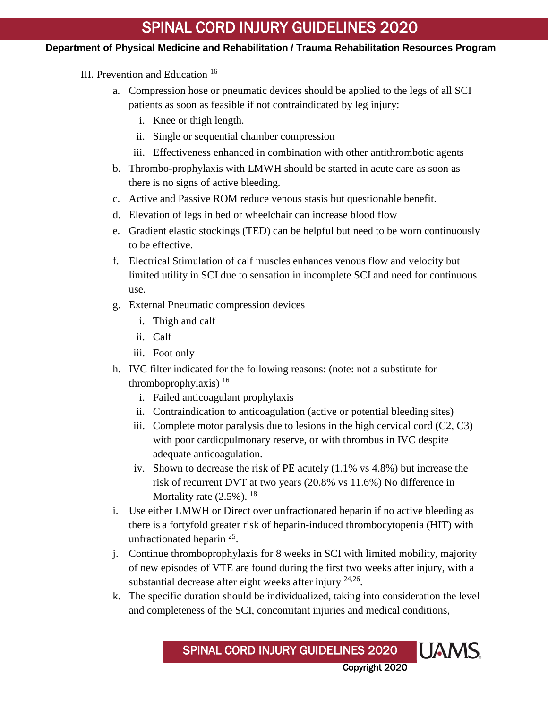- III. Prevention and Education <sup>16</sup>
	- a. Compression hose or pneumatic devices should be applied to the legs of all SCI patients as soon as feasible if not contraindicated by leg injury:
		- i. Knee or thigh length.
		- ii. Single or sequential chamber compression
		- iii. Effectiveness enhanced in combination with other antithrombotic agents
	- b. Thrombo-prophylaxis with LMWH should be started in acute care as soon as there is no signs of active bleeding.
	- c. Active and Passive ROM reduce venous stasis but questionable benefit.
	- d. Elevation of legs in bed or wheelchair can increase blood flow
	- e. Gradient elastic stockings (TED) can be helpful but need to be worn continuously to be effective.
	- f. Electrical Stimulation of calf muscles enhances venous flow and velocity but limited utility in SCI due to sensation in incomplete SCI and need for continuous use.
	- g. External Pneumatic compression devices
		- i. Thigh and calf
		- ii. Calf
		- iii. Foot only
	- h. IVC filter indicated for the following reasons: (note: not a substitute for thromboprophylaxis)  $^{16}$ 
		- i. Failed anticoagulant prophylaxis
		- ii. Contraindication to anticoagulation (active or potential bleeding sites)
		- iii. Complete motor paralysis due to lesions in the high cervical cord  $(C2, C3)$ with poor cardiopulmonary reserve, or with thrombus in IVC despite adequate anticoagulation.
		- iv. Shown to decrease the risk of PE acutely (1.1% vs 4.8%) but increase the risk of recurrent DVT at two years (20.8% vs 11.6%) No difference in Mortality rate  $(2.5\%)$ . <sup>18</sup>
	- i. Use either LMWH or Direct over unfractionated heparin if no active bleeding as there is a fortyfold greater risk of heparin-induced thrombocytopenia (HIT) with unfractionated heparin <sup>25</sup>.
	- j. Continue thromboprophylaxis for 8 weeks in SCI with limited mobility, majority of new episodes of VTE are found during the first two weeks after injury, with a substantial decrease after eight weeks after injury <sup>24,26</sup>.
	- k. The specific duration should be individualized, taking into consideration the level and completeness of the SCI, concomitant injuries and medical conditions,

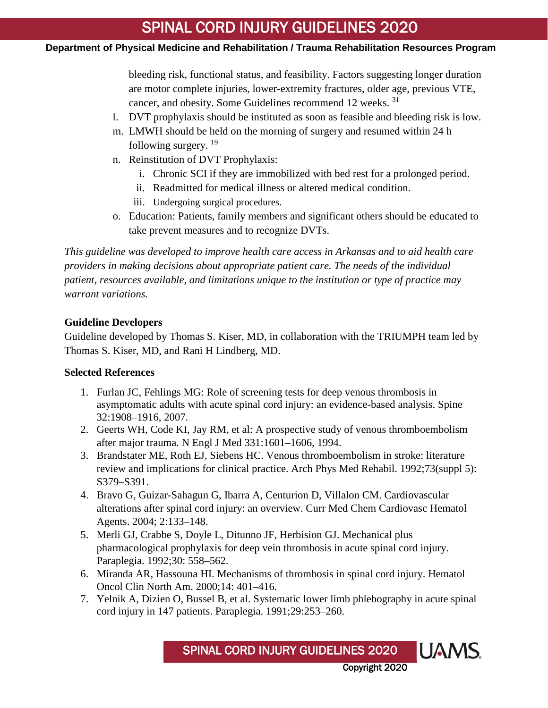## **Department of Physical Medicine and Rehabilitation / Trauma Rehabilitation Resources Program**

bleeding risk, functional status, and feasibility. Factors suggesting longer duration are motor complete injuries, lower-extremity fractures, older age, previous VTE, cancer, and obesity. Some Guidelines recommend 12 weeks. <sup>31</sup>

- l. DVT prophylaxis should be instituted as soon as feasible and bleeding risk is low.
- m. LMWH should be held on the morning of surgery and resumed within 24 h following surgery.  $19$
- n. Reinstitution of DVT Prophylaxis:
	- i. Chronic SCI if they are immobilized with bed rest for a prolonged period.
	- ii. Readmitted for medical illness or altered medical condition.
	- iii. Undergoing surgical procedures.
- o. Education: Patients, family members and significant others should be educated to take prevent measures and to recognize DVTs.

*This guideline was developed to improve health care access in Arkansas and to aid health care providers in making decisions about appropriate patient care. The needs of the individual patient, resources available, and limitations unique to the institution or type of practice may warrant variations.*

# **Guideline Developers**

Guideline developed by Thomas S. Kiser, MD, in collaboration with the TRIUMPH team led by Thomas S. Kiser, MD, and Rani H Lindberg, MD.

## **Selected References**

- 1. Furlan JC, Fehlings MG: Role of screening tests for deep venous thrombosis in asymptomatic adults with acute spinal cord injury: an evidence-based analysis. Spine 32:1908–1916, 2007.
- 2. Geerts WH, Code KI, Jay RM, et al: A prospective study of venous thromboembolism after major trauma. N Engl J Med 331:1601–1606, 1994.
- 3. Brandstater ME, Roth EJ, Siebens HC. Venous thromboembolism in stroke: literature review and implications for clinical practice. Arch Phys Med Rehabil. 1992;73(suppl 5): S379–S391.
- 4. Bravo G, Guizar-Sahagun G, Ibarra A, Centurion D, Villalon CM. Cardiovascular alterations after spinal cord injury: an overview. Curr Med Chem Cardiovasc Hematol Agents. 2004; 2:133–148.
- 5. Merli GJ, Crabbe S, Doyle L, Ditunno JF, Herbision GJ. Mechanical plus pharmacological prophylaxis for deep vein thrombosis in acute spinal cord injury. Paraplegia. 1992;30: 558–562.
- 6. Miranda AR, Hassouna HI. Mechanisms of thrombosis in spinal cord injury. Hematol Oncol Clin North Am. 2000;14: 401–416.
- 7. Yelnik A, Dizien O, Bussel B, et al. Systematic lower limb phlebography in acute spinal cord injury in 147 patients. Paraplegia. 1991;29:253–260.

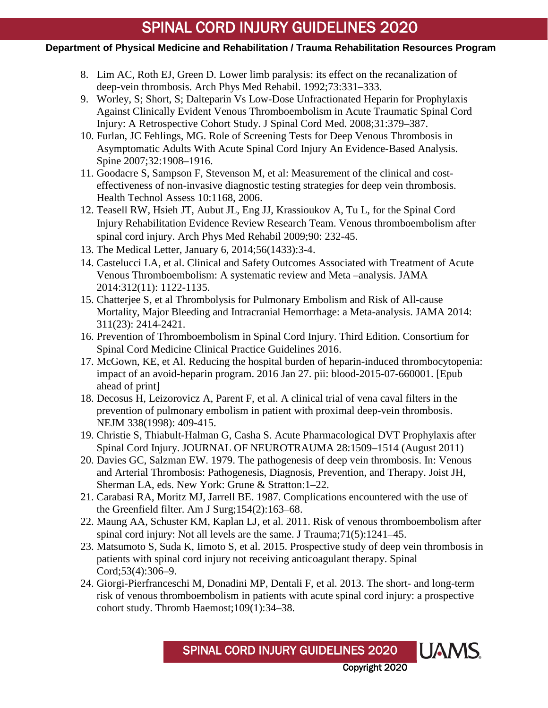## **Department of Physical Medicine and Rehabilitation / Trauma Rehabilitation Resources Program**

- 8. Lim AC, Roth EJ, Green D. Lower limb paralysis: its effect on the recanalization of deep-vein thrombosis. Arch Phys Med Rehabil. 1992;73:331–333.
- 9. Worley, S; Short, S; Dalteparin Vs Low-Dose Unfractionated Heparin for Prophylaxis Against Clinically Evident Venous Thromboembolism in Acute Traumatic Spinal Cord Injury: A Retrospective Cohort Study. J Spinal Cord Med. 2008;31:379–387.
- 10. Furlan, JC Fehlings, MG. Role of Screening Tests for Deep Venous Thrombosis in Asymptomatic Adults With Acute Spinal Cord Injury An Evidence-Based Analysis. Spine 2007;32:1908–1916.
- 11. Goodacre S, Sampson F, Stevenson M, et al: Measurement of the clinical and costeffectiveness of non-invasive diagnostic testing strategies for deep vein thrombosis. Health Technol Assess 10:1168, 2006.
- 12. Teasell RW, Hsieh JT, Aubut JL, Eng JJ, Krassioukov A, Tu L, for the Spinal Cord Injury Rehabilitation Evidence Review Research Team. Venous thromboembolism after spinal cord injury. Arch Phys Med Rehabil 2009;90: 232-45.
- 13. The Medical Letter, January 6, 2014;56(1433):3-4.
- 14. Castelucci LA, et al. Clinical and Safety Outcomes Associated with Treatment of Acute Venous Thromboembolism: A systematic review and Meta –analysis. JAMA 2014:312(11): 1122-1135.
- 15. Chatterjee S, et al Thrombolysis for Pulmonary Embolism and Risk of All-cause Mortality, Major Bleeding and Intracranial Hemorrhage: a Meta-analysis. JAMA 2014: 311(23): 2414-2421.
- 16. Prevention of Thromboembolism in Spinal Cord Injury. Third Edition. Consortium for Spinal Cord Medicine Clinical Practice Guidelines 2016.
- 17. McGown, KE, et Al. Reducing the hospital burden of heparin-induced thrombocytopenia: impact of an avoid-heparin program. 2016 Jan 27. pii: blood-2015-07-660001. [Epub ahead of print]
- 18. Decosus H, Leizorovicz A, Parent F, et al. A clinical trial of vena caval filters in the prevention of pulmonary embolism in patient with proximal deep-vein thrombosis. NEJM 338(1998): 409-415.
- 19. Christie S, Thiabult-Halman G, Casha S. Acute Pharmacological DVT Prophylaxis after Spinal Cord Injury. JOURNAL OF NEUROTRAUMA 28:1509–1514 (August 2011)
- 20. Davies GC, Salzman EW. 1979. The pathogenesis of deep vein thrombosis. In: Venous and Arterial Thrombosis: Pathogenesis, Diagnosis, Prevention, and Therapy. Joist JH, Sherman LA, eds. New York: Grune & Stratton:1–22.
- 21. Carabasi RA, Moritz MJ, Jarrell BE. 1987. Complications encountered with the use of the Greenfield filter. Am J Surg;154(2):163–68.
- 22. Maung AA, Schuster KM, Kaplan LJ, et al. 2011. Risk of venous thromboembolism after spinal cord injury: Not all levels are the same. J Trauma;71(5):1241–45.
- 23. Matsumoto S, Suda K, Iimoto S, et al. 2015. Prospective study of deep vein thrombosis in patients with spinal cord injury not receiving anticoagulant therapy. Spinal Cord;53(4):306–9.
- 24. Giorgi-Pierfranceschi M, Donadini MP, Dentali F, et al. 2013. The short- and long-term risk of venous thromboembolism in patients with acute spinal cord injury: a prospective cohort study. Thromb Haemost;109(1):34–38.

SPINAL CORD INJURY GUIDELINES 2020

Copyright 2020

**UAMS**